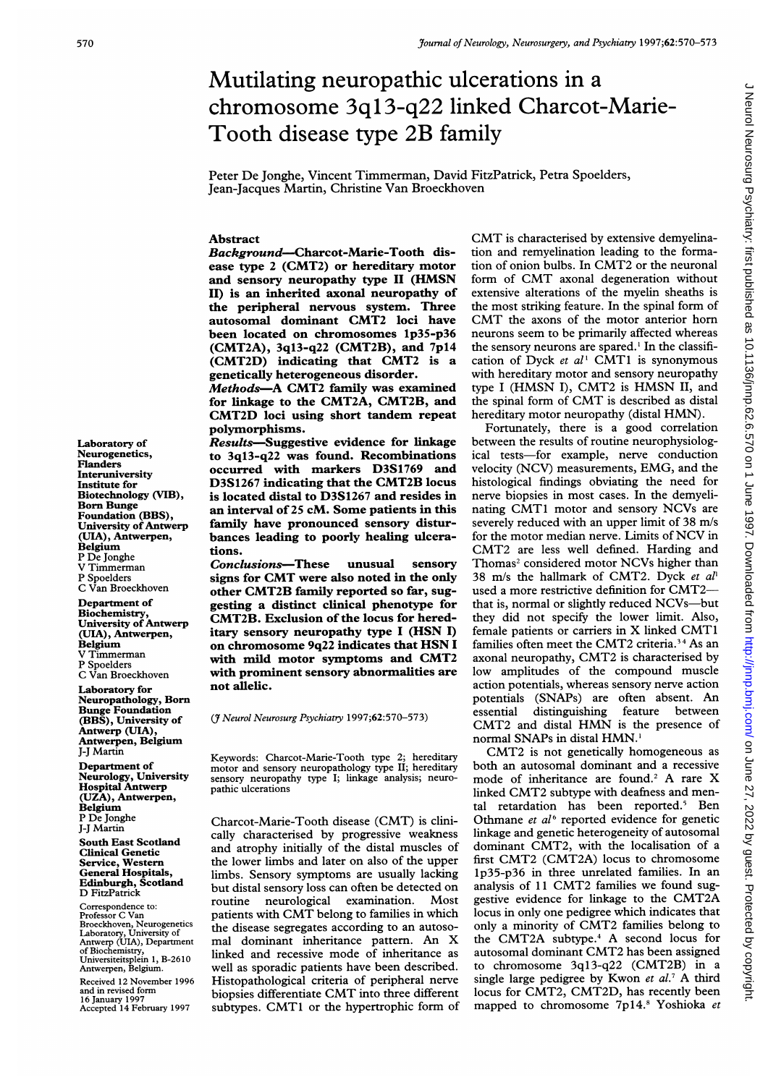# Mutilating neuropathic ulcerations in a chromosome 3ql3-q22 linked Charcot-Marie-Tooth disease type 2B family

Peter De Jonghe, Vincent Timmerman, David FitzPatrick, Petra Spoelders, Jean-Jacques Martin, Christine Van Broeckhoven

## Abstract

Background-Charcot-Marie-Tooth disease type 2 (CMT2) or hereditary motor and sensory neuropathy type II (HMSN II) is an inherited axonal neuropathy of the peripheral nervous system. Three autosomal dominant CMT2 loci have been located on chromosomes lp35-p36 (CMT2A), 3ql3-q22 (CMT2B), and 7pl4 (CMT2D) indicating that CMT2 is <sup>a</sup> genetically heterogeneous disorder.

Methods-A CMT2 family was examined for linkage to the CMT2A, CMT2B, and CMT2D loci using short tandem repeat polymorphisms.

Results-Suggestive evidence for linkage to 3ql3-q22 was found. Recombinations occurred with markers D3S1769 and D3S1267 indicating that the CMT2B locus is located distal to D3S1267 and resides in an interval of 25 cM. Some patients in this family have pronounced sensory disturbances leading to poorly healing ulcerations.

Conclusions-These unusual sensory signs for CMT were also noted in the only other CMT2B family reported so far, suggesting a distinct clinical phenotype for CMT2B. Exclusion of the locus for hereditary sensory neuropathy type <sup>I</sup> (HSN I) on chromosome 9q22 indicates that HSN <sup>I</sup> with mild motor symptoms and CMT2 with prominent sensory abnormalities are not allelic.

(*J* Neurol Neurosurg Psychiatry 1997;62:570-573)

Keywords: Charcot-Marie-Tooth type 2; hereditary motor and sensory neuropathology type II; hereditary sensory neuropathy type I; linkage analysis; neuropathic ulcerations

Charcot-Marie-Tooth disease (CMT) is clinically characterised by progressive weakness and atrophy initially of the distal muscles of the lower limbs and later on also of the upper limbs. Sensory symptoms are usually lacking but distal sensory loss can often be detected on routine neurological examination. Most patients with CMT belong to families in which the disease segregates according to an autosomal dominant inheritance pattern. An X linked and recessive mode of inheritance as well as sporadic patients have been described. Histopathological criteria of peripheral nerve biopsies differentiate CMT into three different subtypes. CMT1 or the hypertrophic form of CMT is characterised by extensive demyelination and remyelination leading to the formation of onion bulbs. In CMT2 or the neuronal form of CMT axonal degeneration without extensive alterations of the myelin sheaths is the most striking feature. In the spinal form of CMT the axons of the motor anterior horn neurons seem to be primarily affected whereas the sensory neurons are spared.<sup>1</sup> In the classification of Dyck et  $al<sup>1</sup>$  CMT1 is synonymous with hereditary motor and sensory neuropathy type <sup>I</sup> (HMSN I), CMT2 is HMSN II, and the spinal form of CMT is described as distal hereditary motor neuropathy (distal HMN).

Fortunately, there is a good correlation between the results of routine neurophysiological tests-for example, nerve conduction velocity (NCV) measurements, EMG, and the histological findings obviating the need for nerve biopsies in most cases. In the demyelinating CMT1 motor and sensory NCVs are severely reduced with an upper limit of 38 m/s for the motor median nerve. Limits of NCV in CMT2 are less well defined. Harding and Thomas<sup>2</sup> considered motor NCVs higher than 38 m/s the hallmark of CMT2. Dyck et  $al<sup>1</sup>$ used <sup>a</sup> more restrictive definition for CMT2 that is, normal or slightly reduced NCVs-but they did not specify the lower limit. Also, female patients or carriers in X linked CMT1 families often meet the CMT2 criteria.<sup>34</sup> As an axonal neuropathy, CMT2 is characterised by low amplitudes of the compound muscle action potentials, whereas sensory nerve action potentials (SNAPs) are often absent. An essential distinguishing feature between CMT2 and distal HMN is the presence of normal SNAPs in distal HMN.

CMT2 is not genetically homogeneous as both an autosomal dominant and a recessive mode of inheritance are found.<sup>2</sup> A rare X linked CMT2 subtype with deafness and mental retardation has been reported.' Ben Othmane et  $al<sup>6</sup>$  reported evidence for genetic linkage and genetic heterogeneity of autosomal dominant CMT2, with the localisation of <sup>a</sup> first CMT2 (CMT2A) locus to chromosome lp35-p36 in three unrelated families. In an analysis of <sup>11</sup> CMT2 families we found suggestive evidence for linkage to the CMT2A locus in only one pedigree which indicates that only <sup>a</sup> minority of CMT2 families belong to the CMT2A subtype.4 A second locus for autosomal dominant CMT2 has been assigned to chromosome 3q13-q22 (CMT2B) in <sup>a</sup> single large pedigree by Kwon et al.<sup>7</sup> A third locus for CMT2, CMT2D, has recently been mapped to chromosome 7p14.8 Yoshioka et

Laboratory of Neurogenetics, Flanders **Interuniversity** Institute for Biotechnology (VIB), Born Bunge Foundation (BBS), University of Antwerp (UIA), Antwerpen, Belgium P De Jonghe V Timmerman P Spoelders C Van Broeckhoven

Department of Biochemistry, University of Antwerp (UIA), Antwerpen, Belgium V Timmerman P Spoelders C Van Broeckhoven

Laboratory for Neuropathology, Born Bunge Foundation (BBS), University of Antwerp (UIA), Antwerpen, Belgium J-J Martin

Department of Neurology, University Hospital Antwerp (UZA), Antwerpen, Belgium P De Jonghe J-J Martin South East Scotland Clinical Genetic

Service, Western General Hospitals, Edinburgh, Scotland D FitzPatrick

Correspondence to: Professor C Van Broeckhoven, Neurogenetics Laboratory, University of Antwerp (UIA), Department of Biochemistry, Universiteitsplein 1, B-2610 Antwerpen, Belgium.

Received 12 November 1996 and in revised form 16 January 1997 Accepted 14 February 1997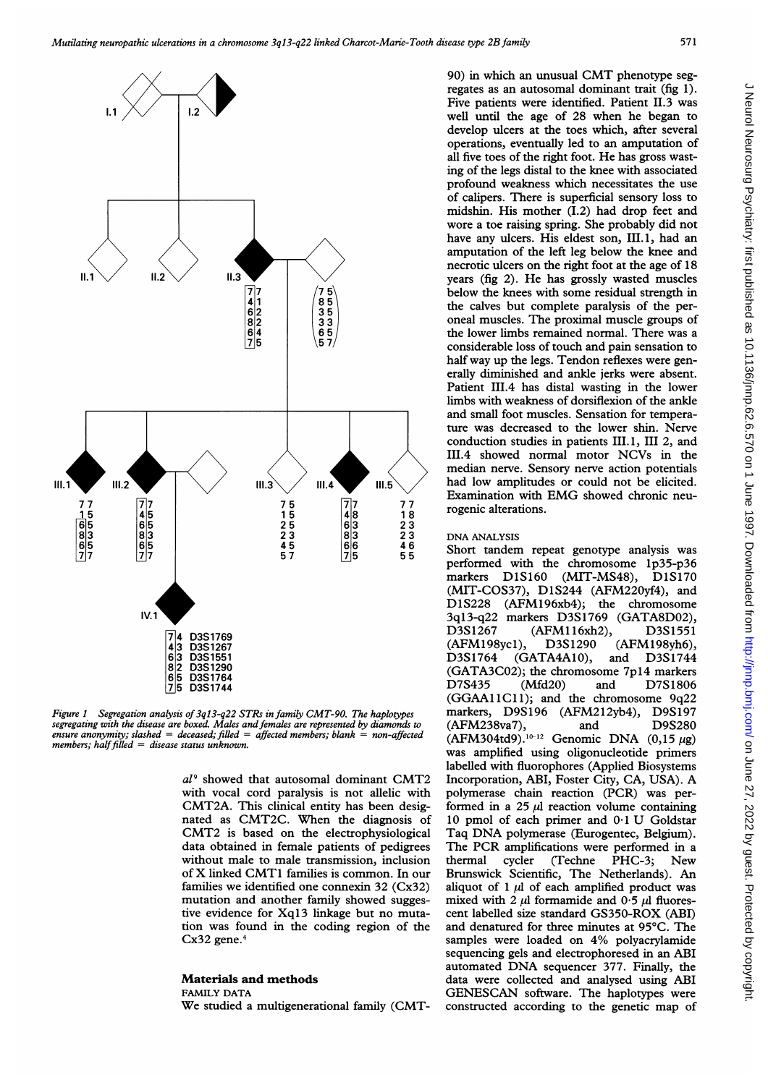

Figure <sup>1</sup> Segregation analysis of 3ql3-q22 STRs in family CMT-90. The haplotypes segregating with the disease are boxed. Males andfemales are represented by diamonds to  $e$ nsure anonymity; slashed = deceased; filled = affected members; blank = non-affected members; half filled  $=$  disease status unknown.

 $al<sup>9</sup>$  showed that autosomal dominant CMT2 with vocal cord paralysis is not allelic with CMT2A. This clinical entity has been designated as CMT2C. When the diagnosis of CMT2 is based on the electrophysiological data obtained in female patients of pedigrees without male to male transmission, inclusion of X linked CMT1 families is common. In our families we identified one connexin 32 (Cx32) mutation and another family showed suggestive evidence for Xq13 linkage but no mutation was found in the coding region of the Cx32 gene.4

#### Materials and methods

FAMILY DATA

We studied <sup>a</sup> multigenerational family (CMT-

90) in which an unusual CMT phenotype segregates as an autosomal dominant trait (fig 1). Five patients were identified. Patient II.3 was well until the age of 28 when he began to develop ulcers at the toes which, after several operations, eventually led to an amputation of all five toes of the right foot. He has gross wasting of the legs distal to the knee with associated profound weakness which necessitates the use of calipers. There is superficial sensory loss to midshin. His mother (I.2) had drop feet and wore a toe raising spring. She probably did not have any ulcers. His eldest son, III.1, had an amputation of the left leg below the knee and necrotic ulcers on the right foot at the age of 18 years (fig 2). He has grossly wasted muscles below the knees with some residual strength in the calves but complete paralysis of the peroneal muscles. The proximal muscle groups of the lower limbs remained normal. There was a considerable loss of touch and pain sensation to half way up the legs. Tendon reflexes were generally diminished and ankle jerks were absent. Patient III.4 has distal wasting in the lower limbs with weakness of dorsiflexion of the ankle and small foot muscles. Sensation for temperature was decreased to the lower shin. Nerve conduction studies in patients III.1, III 2, and III.4 showed normal motor NCVs in the median nerve. Sensory nerve action potentials had low amplitudes or could not be elicited. Examination with EMG showed chronic neurogenic alterations.

### DNA ANALYSIS

Short tandem repeat genotype analysis was performed with the chromosome lp35-p36 markers D1S160 (MIT-MS48), D1S170 (MIT-COS37), D1S244 (AFM220yf4), and<br>D1S228 (AFM196xb4); the chromosome  $(AFM196xb4);$  the chromosome 3ql3-q22 markers D3S1769 (GATA8DO2), (AFM116xh2), (AFM198ycl), D3S1290 (AFM198yh6), (GATA4A10), (GATA3C02); the chromosome 7p14 markers<br>D7S435 (Mfd20) and D7S1806 D7S435 (Mfd2O) and D7S1806 (GGAA11C11); and the chromosome 9q22 markers, D9S196 (AFM212yb4), D9S197<br>(AFM238va7), and D9S280  $(AFM238va7)$ , and  $(AFM304td9).^{10-12}$  Genomic DNA  $(0,15 \mu g)$ was amplified using oligonucleotide primers labelled with fluorophores (Applied Biosystems Incorporation, ABI, Foster City, CA, USA). A polymerase chain reaction (PCR) was performed in a 25  $\mu$ l reaction volume containing <sup>10</sup> pmol of each primer and 0-1 U Goldstar Taq DNA polymerase (Eurogentec, Belgium). The PCR amplifications were performed in <sup>a</sup> thermal cycler (Techne PHC-3; New Brunswick Scientific, The Netherlands). An aliquot of 1  $\mu$ l of each amplified product was mixed with 2  $\mu$ I formamide and 0.5  $\mu$ I fluorescent labelled size standard GS350-ROX (ABI) and denatured for three minutes at 95°C. The samples were loaded on 4% polyacrylamide sequencing gels and electrophoresed in an ABI automated DNA sequencer 377. Finally, the data were collected and analysed using ABI GENESCAN software. The haplotypes were constructed according to the genetic map of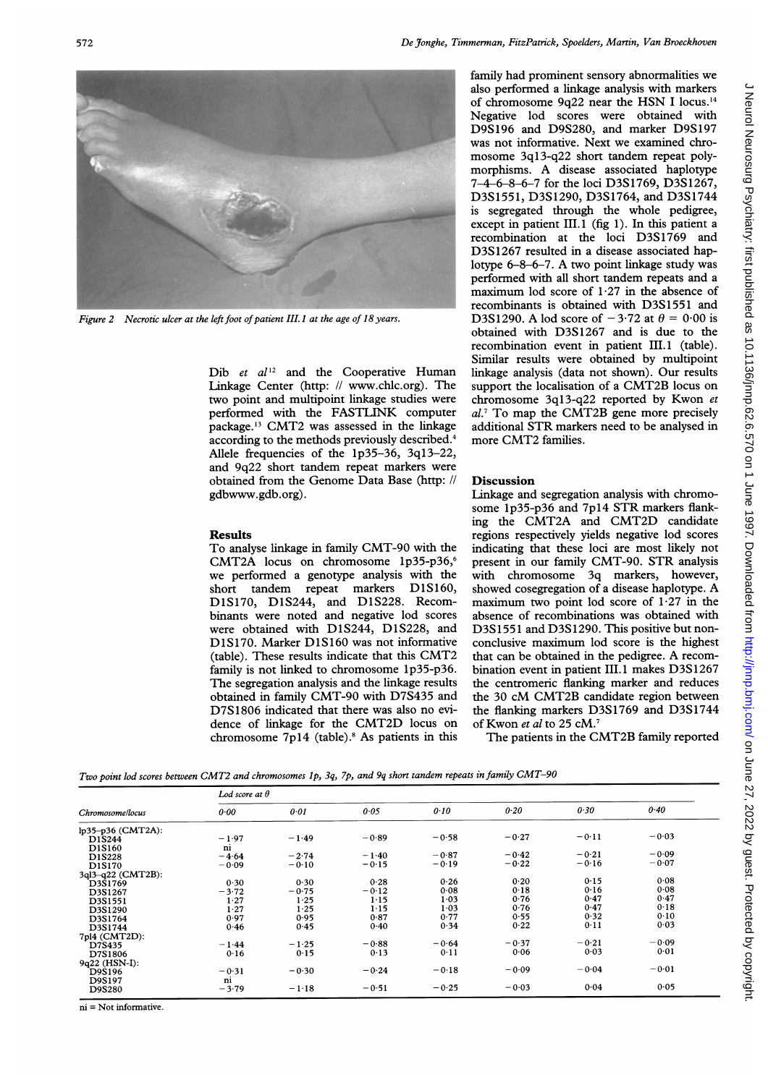

Figure 2 Necrotic ulcer at the left foot of patient III.1 at the age of 18 years.

Dib et  $al^{12}$  and the Cooperative Human Linkage Center (http: // www.chlc.org). The two point and multipoint linkage studies were performed with the FASTLINK computer package.'3 CMT2 was assessed in the linkage according to the methods previously described.4 Allele frequencies of the lp35-36, 3q13-22, and 9q22 short tandem repeat markers were obtained from the Genome Data Base (http: // gdbwww.gdb.org).

### Results

To analyse linkage in family CMT-90 with the CMT2A locus on chromosome 1p35-p36,<sup>6</sup> we performed <sup>a</sup> genotype analysis with the short tandem repeat markers D1S160, D1S170, D1S244, and D1S228. Recombinants were noted and negative lod scores were obtained with D1S244, D1S228, and D1S170. Marker D1S160 was not informative (table). These results indicate that this CMT2 family is not linked to chromosome 1p35-p36. The segregation analysis and the linkage results obtained in family CMT-90 with D7S435 and D7S1806 indicated that there was also no evidence of linkage for the CMT2D locus on chromosome  $7p14$  (table).<sup>8</sup> As patients in this family had prominent sensory abnormalities we also performed a linkage analysis with markers of chromosome 9q22 near the HSN <sup>I</sup> locus.'4 Negative lod scores were obtained with D9S196 and D9S280, and marker D9S197 was not informative. Next we examined chromosome 3ql3-q22 short tandem repeat polymorphisms. A disease associated haplotype 7-4-6-8-6-7 for the loci D3S1769, D3S1267, D3S1551, D3S1290, D3S1764, and D3S1744 is segregated through the whole pedigree, except in patient III.1 (fig 1). In this patient a recombination at the loci D3S1769 and D3S1267 resulted in <sup>a</sup> disease associated haplotype 6-8-6-7. A two point linkage study was performed with all short tandem repeats and a maximum lod score of  $1.27$  in the absence of recombinants is obtained with D3S1551 and D3S1290. A lod score of  $-3.72$  at  $\theta = 0.00$  is obtained with D3S1267 and is due to the recombination event in patient III.1 (table). Similar results were obtained by multipoint linkage analysis (data not shown). Our results support the localisation of <sup>a</sup> CMT2B locus on chromosome 3ql3-q22 reported by Kwon et al.<sup>7</sup> To map the CMT2B gene more precisely additional STR markers need to be analysed in more CMT2 families.

## Discussion

Linkage and segregation analysis with chromosome 1p35-p36 and 7p14 STR markers flanking the CMT2A and CMT2D candidate regions respectively yields negative lod scores indicating that these loci are most likely not present in our family CMT-90. STR analysis with chromosome 3q markers, however, showed cosegregation of <sup>a</sup> disease haplotype. A maximum two point lod score of  $1.27$  in the absence of recombinations was obtained with D3S1551 and D3S1290. This positive but nonconclusive maximum lod score is the highest that can be obtained in the pedigree. A recombination event in patient III.1 makes D3S1267 the centromeric flanking marker and reduces the <sup>30</sup> cM CMT2B candidate region between the flanking markers D3S1769 and D3S1744 of Kwon et al to 25 cM.<sup>7</sup>

The patients in the CMT2B family reported

Two point lod scores between CMT2 and chromosomes Ip, 3q, 7p, and 9q short tandem repeats in family CMT-90

| Chromosome/locus  | Lod score at $\theta$ |         |         |         |         |         |         |
|-------------------|-----------------------|---------|---------|---------|---------|---------|---------|
|                   | 0.00                  | 0.01    | 0.05    | 0.10    | 0.20    | 0.30    | 0.40    |
| lp35-p36 (CMT2A): |                       |         |         |         |         |         |         |
| D1S244            | $-1.97$               | $-1.49$ | $-0.89$ | $-0.58$ | $-0.27$ | $-0.11$ | $-0.03$ |
| D1S160            | ni                    |         |         |         |         |         |         |
| D1S228            | $-4.64$               | $-2.74$ | $-1.40$ | $-0.87$ | $-0.42$ | $-0.21$ | $-0.09$ |
| D1S170            | $-0.09$               | $-0.10$ | $-0.15$ | $-0.19$ | $-0.22$ | $-0.16$ | $-0.07$ |
| 3ql3-q22 (CMT2B): |                       |         |         |         |         |         |         |
| D3S1769           | 0.30                  | 0.30    | 0.28    | 0.26    | 0.20    | 0.15    | 0.08    |
| D3S1267           | $-3.72$               | $-0.75$ | $-0.12$ | 0.08    | 0.18    | 0.16    | 0.08    |
| D3S1551           | 1.27                  | 1.25    | 1.15    | 1.03    | 0.76    | 0.47    | 0.47    |
| D3S1290           | 1.27                  | 1.25    | 1.15    | 1.03    | 0.76    | 0.47    | 0.18    |
| D3S1764           | 0.97                  | 0.95    | 0.87    | 0.77    | 0.55    | 0.32    | 0.10    |
| D3S1744           | 0.46                  | 0.45    | 0.40    | 0.34    | 0.22    | 0.11    | 0.03    |
| 7pl4 (CMT2D):     |                       |         |         |         |         |         |         |
| D7S435            | $-1.44$               | $-1.25$ | $-0.88$ | $-0.64$ | $-0.37$ | $-0.21$ | $-0.09$ |
| D7S1806           | 0.16                  | 0.15    | 0.13    | 0.11    | 0.06    | 0.03    | 0.01    |
| 9q22 (HSN-I):     |                       |         |         |         |         |         |         |
| D9S196            | $-0.31$               | $-0.30$ | $-0.24$ | $-0.18$ | $-0.09$ | $-0.04$ | $-0.01$ |
| D9S197            | ni                    |         |         |         |         |         |         |
| D9S280            | $-3.79$               | $-1.18$ | $-0.51$ | $-0.25$ | $-0.03$ | 0.04    | 0.05    |

 $ni = Not$  informative.